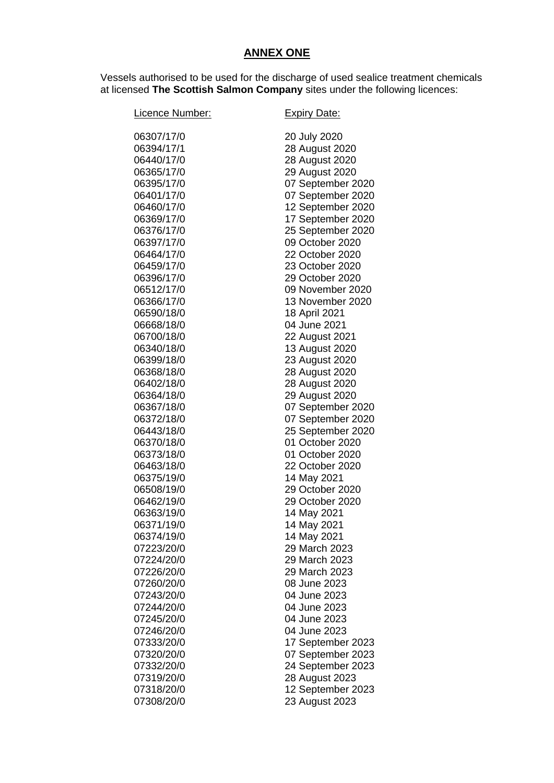## **ANNEX ONE**

Vessels authorised to be used for the discharge of used sealice treatment chemicals at licensed **The Scottish Salmon Company** sites under the following licences:

| Licence Number: | <b>Expiry Date:</b> |
|-----------------|---------------------|
| 06307/17/0      | 20 July 2020        |
| 06394/17/1      | 28 August 2020      |
| 06440/17/0      | 28 August 2020      |
| 06365/17/0      | 29 August 2020      |
| 06395/17/0      | 07 September 2020   |
| 06401/17/0      | 07 September 2020   |
| 06460/17/0      | 12 September 2020   |
| 06369/17/0      | 17 September 2020   |
| 06376/17/0      | 25 September 2020   |
| 06397/17/0      | 09 October 2020     |
| 06464/17/0      | 22 October 2020     |
| 06459/17/0      | 23 October 2020     |
| 06396/17/0      | 29 October 2020     |
| 06512/17/0      | 09 November 2020    |
| 06366/17/0      | 13 November 2020    |
| 06590/18/0      | 18 April 2021       |
| 06668/18/0      | 04 June 2021        |
| 06700/18/0      | 22 August 2021      |
| 06340/18/0      | 13 August 2020      |
| 06399/18/0      | 23 August 2020      |
| 06368/18/0      | 28 August 2020      |
| 06402/18/0      | 28 August 2020      |
| 06364/18/0      | 29 August 2020      |
| 06367/18/0      | 07 September 2020   |
| 06372/18/0      | 07 September 2020   |
| 06443/18/0      | 25 September 2020   |
| 06370/18/0      | 01 October 2020     |
| 06373/18/0      | 01 October 2020     |
| 06463/18/0      | 22 October 2020     |
| 06375/19/0      | 14 May 2021         |
| 06508/19/0      | 29 October 2020     |
| 06462/19/0      | 29 October 2020     |
| 06363/19/0      | 14 May 2021         |
| 06371/19/0      | 14 May 2021         |
| 06374/19/0      | 14 May 2021         |
| 07223/20/0      | 29 March 2023       |
| 07224/20/0      | 29 March 2023       |
| 07226/20/0      | 29 March 2023       |
| 07260/20/0      | 08 June 2023        |
| 07243/20/0      | 04 June 2023        |
| 07244/20/0      | 04 June 2023        |
| 07245/20/0      | 04 June 2023        |
| 07246/20/0      | 04 June 2023        |
| 07333/20/0      | 17 September 2023   |
| 07320/20/0      | 07 September 2023   |
| 07332/20/0      | 24 September 2023   |
| 07319/20/0      | 28 August 2023      |
| 07318/20/0      | 12 September 2023   |
| 07308/20/0      | 23 August 2023      |